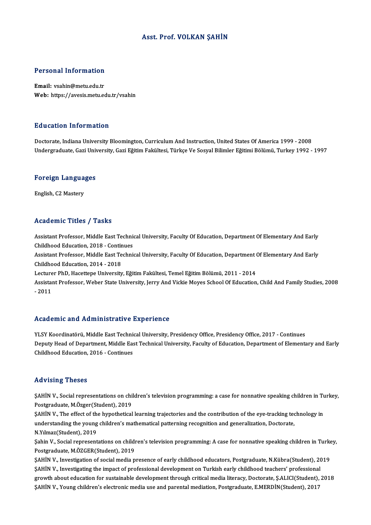#### Asst. Prof. VOLKAN ŞAHİN

# Personal Information

Personal Information<br>Email: vsahin@metu.edu.tr<br>Web: https://ayasis.matu.co Email: vsahin@metu.edu.tr<br>Web: https://avesis.metu.edu.tr/vsahin

#### Education Information

<mark>Education Information</mark><br>Doctorate, Indiana University Bloomington, Curriculum And Instruction, United States Of America 1999 - 2008<br>Undergraduate Cari University Cari Fătim Fakültasi Türkse Ve Sesval Bilimler Fătimi Pălümü 2u u custon ninoninteson<br>Doctorate, Indiana University Bloomington, Curriculum And Instruction, United States Of America 1999 - 2008<br>Undergraduate, Gazi University, Gazi Eğitim Fakültesi, Türkçe Ve Sosyal Bilimler Eğitimi

### <sub>ondergraduate, Gazi oni<br>Foreign Languages</sub> F<mark>oreign Langua</mark><br>English, C2 Mastery

# English, C2 Mastery<br>Academic Titles / Tasks

Academic Titles / Tasks<br>Assistant Professor, Middle East Technical University, Faculty Of Education, Department Of Elementary And Early<br>Childheed Education, 2018, Continues Assistant Professor, Middle East Technic<br>Childhood Education, 2018 - Continues<br>Assistant Professor, Middle East Technic Assistant Professor, Middle East Technical University, Faculty Of Education, Department Of Elementary And Early<br>Childhood Education, 2018 - Continues<br>Assistant Professor, Middle East Technical University, Faculty Of Educat Childhood Education, 2018 - Contin<br>Assistant Professor, Middle East Te<br>Childhood Education, 2014 - 2018<br>Lecturer PhD, Hassttone University Assistant Professor, Middle East Technical University, Faculty Of Education, Department (<br>Childhood Education, 2014 - 2018<br>Lecturer PhD, Hacettepe University, Eğitim Fakültesi, Temel Eğitim Bölümü, 2011 - 2014<br>Assistant Pr Childhood Education, 2014 - 2018<br>Lecturer PhD, Hacettepe University, Eğitim Fakültesi, Temel Eğitim Bölümü, 2011 - 2014<br>Assistant Professor, Weber State University, Jerry And Vickie Moyes School Of Education, Child And Fam Lecture<br>Assistai<br>- 2011

# Academic and Administrative Experience

Academic and Administrative Experience<br>YLSY Koordinatörü, Middle East Technical University, Presidency Office, Presidency Office, 2017 - Continues<br>Penuty Head of Penertment, Middle East Technical University, Easylty of Edu Deputy Head of Department, Middle East Technical University, Faculty of Education, Department of Elementary and Early<br>Childhood Education, 2016 - Continues YLSY Koordinatörü, Middle East Techni<br>Deputy Head of Department, Middle Eas<br>Childhood Education, 2016 - Continues

#### Advising Theses

Advising Theses<br>ŞAHİN V., Social representations on children's television programming: a case for nonnative speaking children in Turkey,<br>Postanaduata MÖzger(Student), 2019 Postgraduate, M.Özger(Student), 2019 SAHİN V., Social representations on children's television programming: a case for nonnative speaking children in Tu<br>Postgraduate, M.Özger(Student), 2019<br>SAHİN V., The effect of the hypothetical learning trajectories and th

Postgraduate, M.Özger(Student), 2019<br>ŞAHİN V., The effect of the hypothetical learning trajectories and the contribution of the eye-tracking teo<br>understanding the young children's mathematical patterning recognition and ge **SAHİN V., The effect of the property of the Student), 2019**<br>N.Yılmaz(Student), 2019<br>Sebin V., Sesial represent understanding the young children's mathematical patterning recognition and generalization, Doctorate,<br>N.Yılmaz(Student), 2019<br>Şahin V., Social representations on children's television programming: A case for nonnative spea

**N.Yılmaz(Student), 2019<br>Şahin V., Social representations on childi<br>Postgraduate, M.ÖZGER(Student), 2019<br>SAHİN V., Investisation of social media p** Şahin V., Social representations on children's television programming: A case for nonnative speaking children in Turke<br>Postgraduate, M.ÖZGER(Student), 2019<br>ŞAHİN V., Investigation of social media presence of early childhoo

Postgraduate, M.ÖZGER(Student), 2019<br>ŞAHİN V., Investigation of social media presence of early childhood educators, Postgraduate, N.Kübra(Student), 2019<br>ŞAHİN V., Investigating the impact of professional development on Tur growth about education for sustainable development through critical media literacy, Doctorate, Ş.ALICI(Student), 2018 ŞAHİNV.,Young children's electronicmedia use and parentalmediation,Postgraduate,E.MERDİN(Student),2017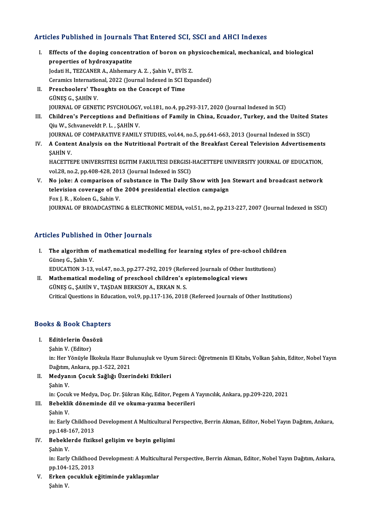#### Articles Published in Journals That Entered SCI, SSCI and AHCI Indexes

- rticles Published in Journals That Entered SCI, SSCI and AHCI Indexes<br>I. Effects of the doping concentration of boron on physicochemical, mechanical, and biological<br>Preparties of hydrogygnatic properties of the doping concentration<br>properties of hydroxyapatite<br>lodati H\_TEZCANED A\_Alabaman Effects of the doping concentration of boron on ph<br>properties of hydroxyapatite<br>Jodati H., TEZCANER A., Alshemary A. Z. , Şahin V., EVİS Z.<br>Coramics International 2022 (Journal Indexed in SCI Evr properties of hydroxyapatite<br>Jodati H., TEZCANER A., Alshemary A. Z. , Şahin V., EVİS Z.<br>Ceramics International, 2022 (Journal Indexed in SCI Expanded) Jodati H., TEZCANER A., Alshemary A. Z. , Şahin V., EVİS<br>Ceramics International, 2022 (Journal Indexed in SCI E<br>II. Preschoolers' Thoughts on the Concept of Time<br>CUNES C. SAHIN V.
- II. Preschoolers' Thoughts on the Concept of Time<br>GÜNEŞ G., ŞAHİN V. Preschoolers' Thoughts on the Concept of Time<br>GÜNEŞ G., ŞAHİN V.<br>JOURNAL OF GENETIC PSYCHOLOGY, vol.181, no.4, pp.293-317, 2020 (Journal Indexed in SCI)<br>Childron's Persentions and Definitions of Family in Chine, Fausday, T GÜNEŞ G., ŞAHİN V.<br>JOURNAL OF GENETIC PSYCHOLOGY, vol.181, no.4, pp.293-317, 2020 (Journal Indexed in SCI)<br>III. Children's Perceptions and Definitions of Family in China, Ecuador, Turkey, and the United States<br>Oiv W. Sehva
- **JOURNAL OF GENETIC PSYCHOLOGY<br>Children's Perceptions and Defi:**<br>Qiu W., Schvaneveldt P. L. , ŞAHİN V.<br>JOUPNAL OF COMBARATIVE FAMILY Children's Perceptions and Definitions of Family in China, Ecuador, Turkey, and the United :<br>Qiu W., Schvaneveldt P. L. , ŞAHİN V.<br>JOURNAL OF COMPARATIVE FAMILY STUDIES, vol.44, no.5, pp.641-663, 2013 (Journal Indexed in S
- Qiu W., Schvaneveldt P. L. , ŞAHİN V.<br>JOURNAL OF COMPARATIVE FAMILY STUDIES, vol.44, no.5, pp.641-663, 2013 (Journal Indexed in SSCI)<br>IV. A Content Analysis on the Nutritional Portrait of the Breakfast Cereal Televisio **JOURNAL<br>A Contei<br>ŞAHİN V.<br>HACETTE** A Content Analysis on the Nutritional Portrait of the Breakfast Cereal Television Advertisement:<br>ŞAHİN V.<br>HACETTEPE UNIVERSITESI EGITIM FAKULTESI DERGISI-HACETTEPE UNIVERSITY JOURNAL OF EDUCATION,<br>vel 29, no 2, nn 408,428, ŞAHİN V.<br>HACETTEPE UNIVERSITESI EGITIM FAKULTESI DERGISI-HACETTEPE UNIVERSITY JOURNAL OF EDUCATION,<br>vol.28, no.2, pp.408-428, 2013 (Journal Indexed in SSCI)
- HACETTEPE UNIVERSITESI EGITIM FAKULTESI DERGISI-HACETTEPE UNIVERSITY JOURNAL OF EDUCATION,<br>vol.28, no.2, pp.408-428, 2013 (Journal Indexed in SSCI)<br>V. No joke: A comparison of substance in The Daily Show with Jon Stewart a vol.28, no.2, pp.408-428, 2013 (Journal Indexed in SSCI)<br>No joke: A comparison of substance in The Daily Show with Jon<br>television coverage of the 2004 presidential election campaign<br>For L.B., Kalaan G. Sabin V. No joke: A comparison of<br>television coverage of the<br>Fox J. R. , Koloen G., Sahin V.<br>JOUPMAL OF PROADCASTIN television coverage of the 2004 presidential election campaign<br>Fox J. R. , Koloen G., Sahin V.<br>JOURNAL OF BROADCASTING & ELECTRONIC MEDIA, vol.51, no.2, pp.213-227, 2007 (Journal Indexed in SSCI)

#### Articles Published in Other Journals

- rticles Published in Other Journals<br>I. The algorithm of mathematical modelling for learning styles of pre-school children<br>Cünes C. Sabin V. The algorithm of<br>Güneş G., Şahin V.<br>EDUCATION 3-13 The algorithm of mathematical modelling for learning styles of pre-school child:<br>Güneş G., Şahin V.<br>EDUCATION 3-13, vol.47, no.3, pp.277-292, 2019 (Refereed Journals of Other Institutions)<br>Mathematical modeling of preschoo
- Güneş G., Şahin V.<br>EDUCATION 3-13, vol.47, no.3, pp.277-292, 2019 (Refereed Journals of Other In<br>II. Mathematical modeling of preschool children's epistemological views<br>CÜNES C. SAHIN V. TASDAN PERKOV A. ERKAN N.S. EDUCATION 3-13, vol.47, no.3, pp.277-292, 2019 (Refe<br>Mathematical modeling of preschool children's e<br>GÜNEŞ G., ŞAHİN V., TAŞDAN BERKSOY A., ERKAN N. S.<br>Critical Questions in Education vol.9, nn 117, 126, 2019 GÜNEŞ G., ŞAHİN V., TAŞDAN BERKSOY A., ERKAN N. S.<br>Critical Questions in Education, vol.9, pp.117-136, 2018 (Refereed Journals of Other Institutions)

### critical questions in Equiperty<br>Books & Book Chapters ooks & Book Chapte<br>I. Editörlerin Önsözü<br>Sobin V. (Editor)

### I. Editörlerin Önsözü<br>Şahin V. (Editor)

Editörlerin Önsözü<br>Şahin V. (Editor)<br>in: Her Yönüyle İlkokula Hazır Bulunuşluk ve Uyum Süreci: Öğretmenin El Kitabı, Volkan Şahin, Editor, Nobel Yayın<br>Doğum, Ankara pp.1, 522, 2021 Şahin V. (Editor)<br>in: Her Yönüyle İlkokula Hazır Bu<br>Dağıtım, Ankara, pp.1-522, 2021<br>Medyanın Casuk Sağlığı Üzeri

Dağıtım, Ankara, pp.1-522, 2021<br>II. Medyanın Çocuk Sağlığı Üzerindeki Etkileri ŞahinV. Medyanın Çocuk Sağlığı Üzerindeki Etkileri<br>Şahin V.<br>in: Çocuk ve Medya, Doç. Dr. Şükran Kılıç, Editor, Pegem A Yayıncılık, Ankara, pp.209-220, 2021<br>Behaklik döneminde dil ve oluyna yazma basanileri

in: Çocul<br><mark>Bebekli</mark><br>Şahin V.<br>in: Farly

### III. Bebeklik döneminde dil ve okuma-yazma becerileri<br>Sahin V.

Bebeklik döneminde dil ve okuma-yazma becerileri<br>Şahin V.<br>in: Early Childhood Development A Multicultural Perspective, Berrin Akman, Editor, Nobel Yayın Dağıtım, Ankara, Şahin V.<br>in: Early Childhood<br>pp.148-167, 2013<br>Beheklerde fizik in: Early Childhood Development A Multicultural P<br>pp.148-167, 2013<br>IV. Bebeklerde fiziksel gelişim ve beyin gelişimi<br>Sahin V. pp.148-1<br><mark>Bebekle</mark><br>Şahin V.<br>in: Farly

Bebeklerde fiziksel gelişim ve beyin gelişimi<br>Şahin V.<br>in: Early Childhood Development: A Multicultural Perspective, Berrin Akman, Editor, Nobel Yayın Dağıtım, Ankara, Şahin V.<br>in: Early Childhood<br>pp.104-125, 2013<br>Erken secukluk 4 in: Early Childhood Development: A Multicul<br>pp.104-125, 2013<br>V. Erken çocukluk eğitiminde yaklaşımlar<br>Sahin V.

pp.104-<br><mark>Erken</mark> ç<br>Şahin V.